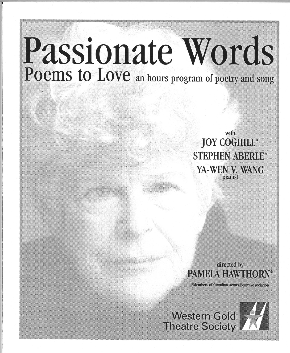# **Passionate** Words Poems to Love an hours program of poetry and song

with JOY COGHILL\* STEPHEN ABERLE\* YA-WEN V. WANG pianist

directed by PAMELA HAWTHO

\*Members of Canadian Actors Equity Association

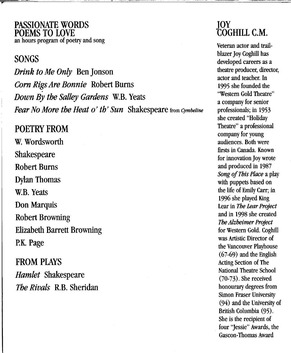PASSIONATE WORDS POEMS TO LOVE an hours program of poetry and song

## SONGS

r

Drink to Me Only Ben Jonson Corn RigsAre Bonnie Robert Bums Down By the Salley Gardens W.B. Yeats Fear No More the Heat 0' th' Sun Shakespeare from *Cymbeline*

## POETRY FROM

W. Wordsworth Shakespeare Robert Bums Dylan Thomas W.B. Yeats Don Marquis Robert Browning Elizabeth Barrett Browning p.K. Page

FROM PLAYS Hamlet Shakespeare The Rivals R.B. Sheridan

### *lOY* COGHILL C.M.

Veteran actor and trailblazer Joy Coghill has developed careers as a theatre producer, director, actor and teacher. In 1995 she founded the "Western Gold Theatre" a company for senior professionals; in 1953 she created "Holiday Theatre" a professional company for young audiences. Both were firsts in Canada. Known for innovation JoY wrote and produced in 1987 *Song ofThis Place* a play with puppets based on the life of Emily Carr; in 1996 she played King Lear in *The Lear Project* and in 1998 she created **The Alzheimer Project** for Western Gold. Coghill was Artistic Director of the Vancouver Playhouse (67-69) and the English Acting Section of The National Theatre School (70-73). She received honourary degrees from Simon Fraser University (94) and the University of British Columbia (95). She is the recipient of four "Jessie" Awards, the Gascon-Thomas Award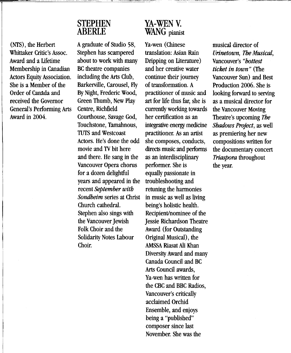#### **STEPHEN ABERLE**

(NTS) , the Herbert Whittaker Critic's Assoc. Award and a lifetime Membership in Canadian Actors Equity Association. She is a Member of the Order of Canada and received the Governor General's Performing Arts Award in 2004.

Agraduate of Studio 58, Stephen has scampered about to work with many BC theatre companies including the Arts Club, Barkerville, Carousel, Fly By Night, Frederic Wood, Green Thumb, New Play Centre, Richfield Courthouse, Savage God, Touchstone, Tamahnous, TUTS and Westcoast Actors. He's done the odd movie and TV bit here and there. He sang in the Vancouver Opera chorus for a dozen delightful years and appeared in the recent *September with Sondheim* series at Christ Church cathedral. Stephen also sings with the Vancouver Jewish Folk Choir and the Solidarity Notes Labour Choir.

### YA-WEN<sub>V</sub>. **WANG** pianist

Ya-wen (Chinese translation: Asian Rain Dripping on Literature) and her creative water continue their journey of transformation. A practitioner of music and art for life thus far, she is currently working towards her certification as an integrative energy medicine practitioner. As an artist she composes, conducts, directs music and performs as an interdisciplinary performer. She is equally passionate in troubleshooting and retuning the harmonies in music as well as living being's holistic health. Recipient/nominee of the Jessie Richardson Theatre Award (for Outstanding Original Musical), the AMSSA Riasat Ali Khan Diversity Award and many Canada Council and BC Arts Council awards, Ya-wen has written for the CBC and BBC Radios, Vancouver's critically acclaimed Orchid Ensemble, and enjoys being a "published" composer since last November. She was the

musical director of *Urinetown, The Musical,* Vancouver's *"hottest ticket in town"* (The Vancouver Sun) and Best Production 2006. She is looking forward to serving as a musical director for the Vancouver Moving Theatre's upcoming *The Shadows Project,* as well as premiering her new compositions written for the documentary concert *Triaspora* throughout the year.